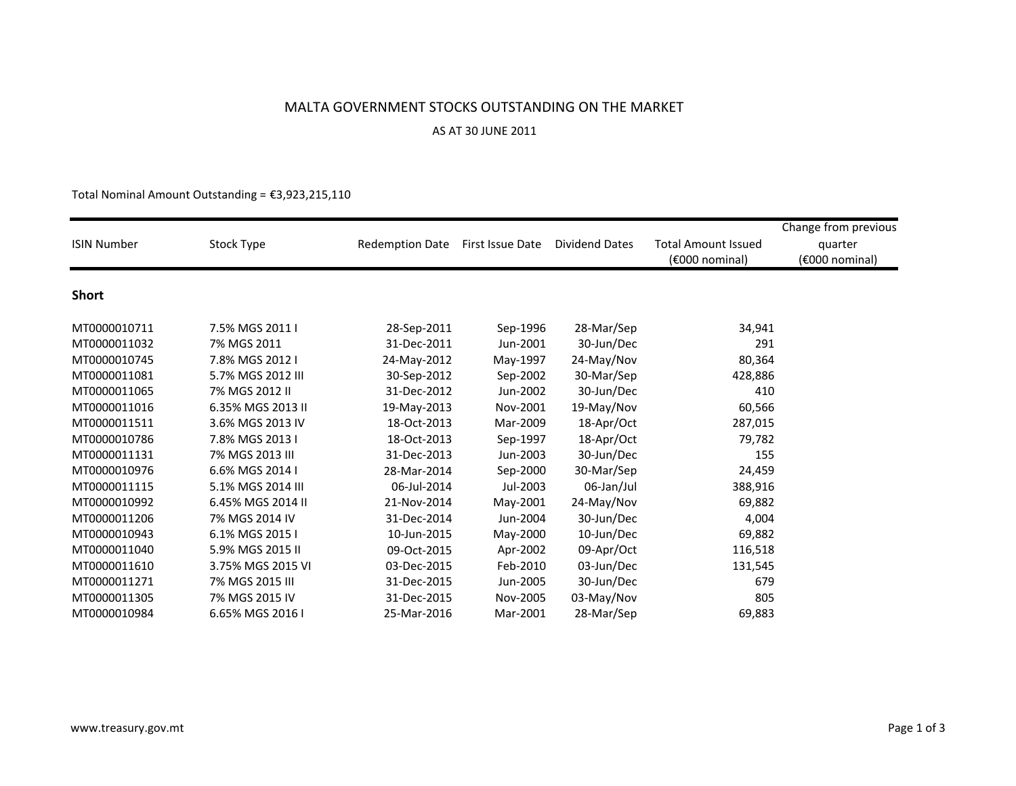## MALTA GOVERNMENT STOCKS OUTSTANDING ON THE MARKET

## AS AT 30 JUNE 2011

| Total Nominal Amount Outstanding = $$3,923,215,110$ |  |
|-----------------------------------------------------|--|
|-----------------------------------------------------|--|

| <b>ISIN Number</b> | Stock Type        | <b>Redemption Date</b> | First Issue Date | Dividend Dates | <b>Total Amount Issued</b><br>(€000 nominal) | Change from previous<br>quarter<br>(€000 nominal) |
|--------------------|-------------------|------------------------|------------------|----------------|----------------------------------------------|---------------------------------------------------|
| Short              |                   |                        |                  |                |                                              |                                                   |
| MT0000010711       | 7.5% MGS 2011 I   | 28-Sep-2011            | Sep-1996         | 28-Mar/Sep     | 34,941                                       |                                                   |
| MT0000011032       | 7% MGS 2011       | 31-Dec-2011            | Jun-2001         | 30-Jun/Dec     | 291                                          |                                                   |
| MT0000010745       | 7.8% MGS 2012 I   | 24-May-2012            | May-1997         | 24-May/Nov     | 80,364                                       |                                                   |
| MT0000011081       | 5.7% MGS 2012 III | 30-Sep-2012            | Sep-2002         | 30-Mar/Sep     | 428,886                                      |                                                   |
| MT0000011065       | 7% MGS 2012 II    | 31-Dec-2012            | Jun-2002         | 30-Jun/Dec     | 410                                          |                                                   |
| MT0000011016       | 6.35% MGS 2013 II | 19-May-2013            | Nov-2001         | 19-May/Nov     | 60,566                                       |                                                   |
| MT0000011511       | 3.6% MGS 2013 IV  | 18-Oct-2013            | Mar-2009         | 18-Apr/Oct     | 287,015                                      |                                                   |
| MT0000010786       | 7.8% MGS 2013 I   | 18-Oct-2013            | Sep-1997         | 18-Apr/Oct     | 79,782                                       |                                                   |
| MT0000011131       | 7% MGS 2013 III   | 31-Dec-2013            | Jun-2003         | 30-Jun/Dec     | 155                                          |                                                   |
| MT0000010976       | 6.6% MGS 2014 I   | 28-Mar-2014            | Sep-2000         | 30-Mar/Sep     | 24,459                                       |                                                   |
| MT0000011115       | 5.1% MGS 2014 III | 06-Jul-2014            | Jul-2003         | 06-Jan/Jul     | 388,916                                      |                                                   |
| MT0000010992       | 6.45% MGS 2014 II | 21-Nov-2014            | May-2001         | 24-May/Nov     | 69,882                                       |                                                   |
| MT0000011206       | 7% MGS 2014 IV    | 31-Dec-2014            | Jun-2004         | 30-Jun/Dec     | 4,004                                        |                                                   |
| MT0000010943       | 6.1% MGS 2015 I   | 10-Jun-2015            | May-2000         | 10-Jun/Dec     | 69,882                                       |                                                   |
| MT0000011040       | 5.9% MGS 2015 II  | 09-Oct-2015            | Apr-2002         | 09-Apr/Oct     | 116,518                                      |                                                   |
| MT0000011610       | 3.75% MGS 2015 VI | 03-Dec-2015            | Feb-2010         | 03-Jun/Dec     | 131,545                                      |                                                   |
| MT0000011271       | 7% MGS 2015 III   | 31-Dec-2015            | Jun-2005         | 30-Jun/Dec     | 679                                          |                                                   |
| MT0000011305       | 7% MGS 2015 IV    | 31-Dec-2015            | Nov-2005         | 03-May/Nov     | 805                                          |                                                   |
| MT0000010984       | 6.65% MGS 2016 I  | 25-Mar-2016            | Mar-2001         | 28-Mar/Sep     | 69,883                                       |                                                   |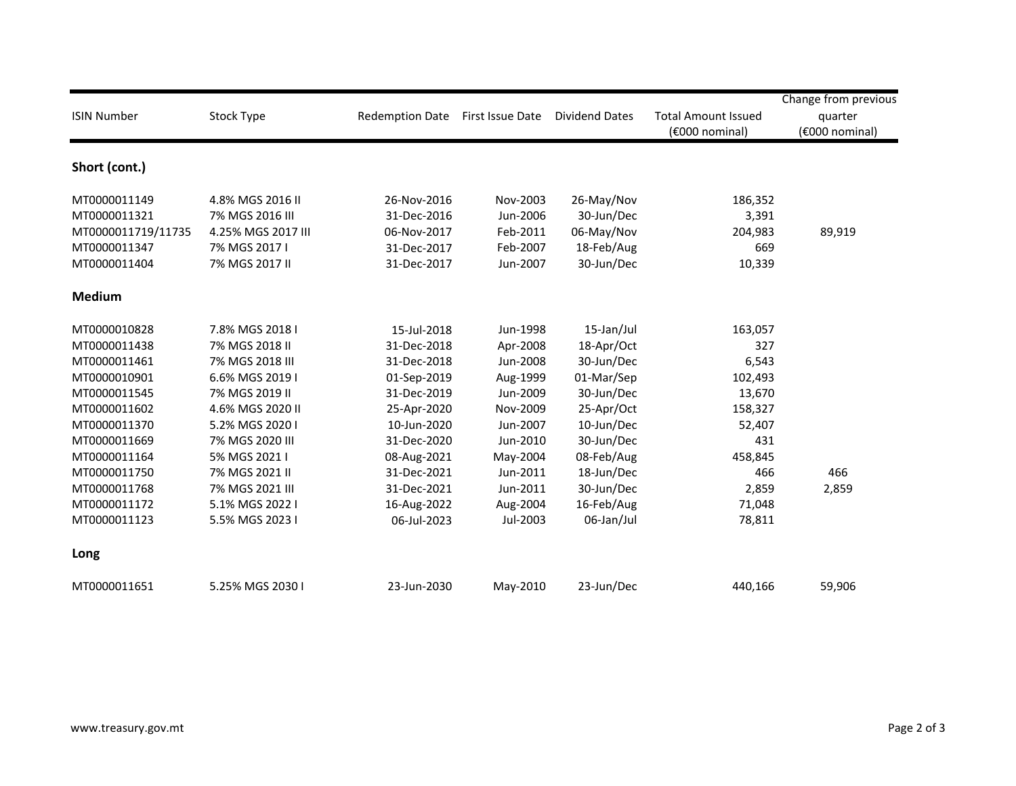| <b>ISIN Number</b> | Stock Type         | <b>Redemption Date</b> | First Issue Date | <b>Dividend Dates</b> | <b>Total Amount Issued</b><br>(€000 nominal) | Change from previous<br>quarter<br>(€000 nominal) |
|--------------------|--------------------|------------------------|------------------|-----------------------|----------------------------------------------|---------------------------------------------------|
| Short (cont.)      |                    |                        |                  |                       |                                              |                                                   |
| MT0000011149       | 4.8% MGS 2016 II   | 26-Nov-2016            | Nov-2003         | 26-May/Nov            | 186,352                                      |                                                   |
| MT0000011321       | 7% MGS 2016 III    | 31-Dec-2016            | Jun-2006         | 30-Jun/Dec            | 3,391                                        |                                                   |
| MT0000011719/11735 | 4.25% MGS 2017 III | 06-Nov-2017            | Feb-2011         | 06-May/Nov            | 204,983                                      | 89,919                                            |
| MT0000011347       | 7% MGS 2017 I      | 31-Dec-2017            | Feb-2007         | 18-Feb/Aug            | 669                                          |                                                   |
| MT0000011404       | 7% MGS 2017 II     | 31-Dec-2017            | Jun-2007         | 30-Jun/Dec            | 10,339                                       |                                                   |
| <b>Medium</b>      |                    |                        |                  |                       |                                              |                                                   |
| MT0000010828       | 7.8% MGS 2018 I    | 15-Jul-2018            | Jun-1998         | 15-Jan/Jul            | 163,057                                      |                                                   |
| MT0000011438       | 7% MGS 2018 II     | 31-Dec-2018            | Apr-2008         | 18-Apr/Oct            | 327                                          |                                                   |
| MT0000011461       | 7% MGS 2018 III    | 31-Dec-2018            | Jun-2008         | 30-Jun/Dec            | 6,543                                        |                                                   |
| MT0000010901       | 6.6% MGS 2019 I    | 01-Sep-2019            | Aug-1999         | 01-Mar/Sep            | 102,493                                      |                                                   |
| MT0000011545       | 7% MGS 2019 II     | 31-Dec-2019            | Jun-2009         | 30-Jun/Dec            | 13,670                                       |                                                   |
| MT0000011602       | 4.6% MGS 2020 II   | 25-Apr-2020            | Nov-2009         | 25-Apr/Oct            | 158,327                                      |                                                   |
| MT0000011370       | 5.2% MGS 2020 I    | 10-Jun-2020            | Jun-2007         | 10-Jun/Dec            | 52,407                                       |                                                   |
| MT0000011669       | 7% MGS 2020 III    | 31-Dec-2020            | Jun-2010         | 30-Jun/Dec            | 431                                          |                                                   |
| MT0000011164       | 5% MGS 2021 I      | 08-Aug-2021            | May-2004         | 08-Feb/Aug            | 458,845                                      |                                                   |
| MT0000011750       | 7% MGS 2021 II     | 31-Dec-2021            | Jun-2011         | 18-Jun/Dec            | 466                                          | 466                                               |
| MT0000011768       | 7% MGS 2021 III    | 31-Dec-2021            | Jun-2011         | 30-Jun/Dec            | 2,859                                        | 2,859                                             |
| MT0000011172       | 5.1% MGS 2022 I    | 16-Aug-2022            | Aug-2004         | 16-Feb/Aug            | 71,048                                       |                                                   |
| MT0000011123       | 5.5% MGS 2023 I    | 06-Jul-2023            | Jul-2003         | 06-Jan/Jul            | 78,811                                       |                                                   |
| Long               |                    |                        |                  |                       |                                              |                                                   |
| MT0000011651       | 5.25% MGS 2030 I   | 23-Jun-2030            | May-2010         | 23-Jun/Dec            | 440,166                                      | 59,906                                            |